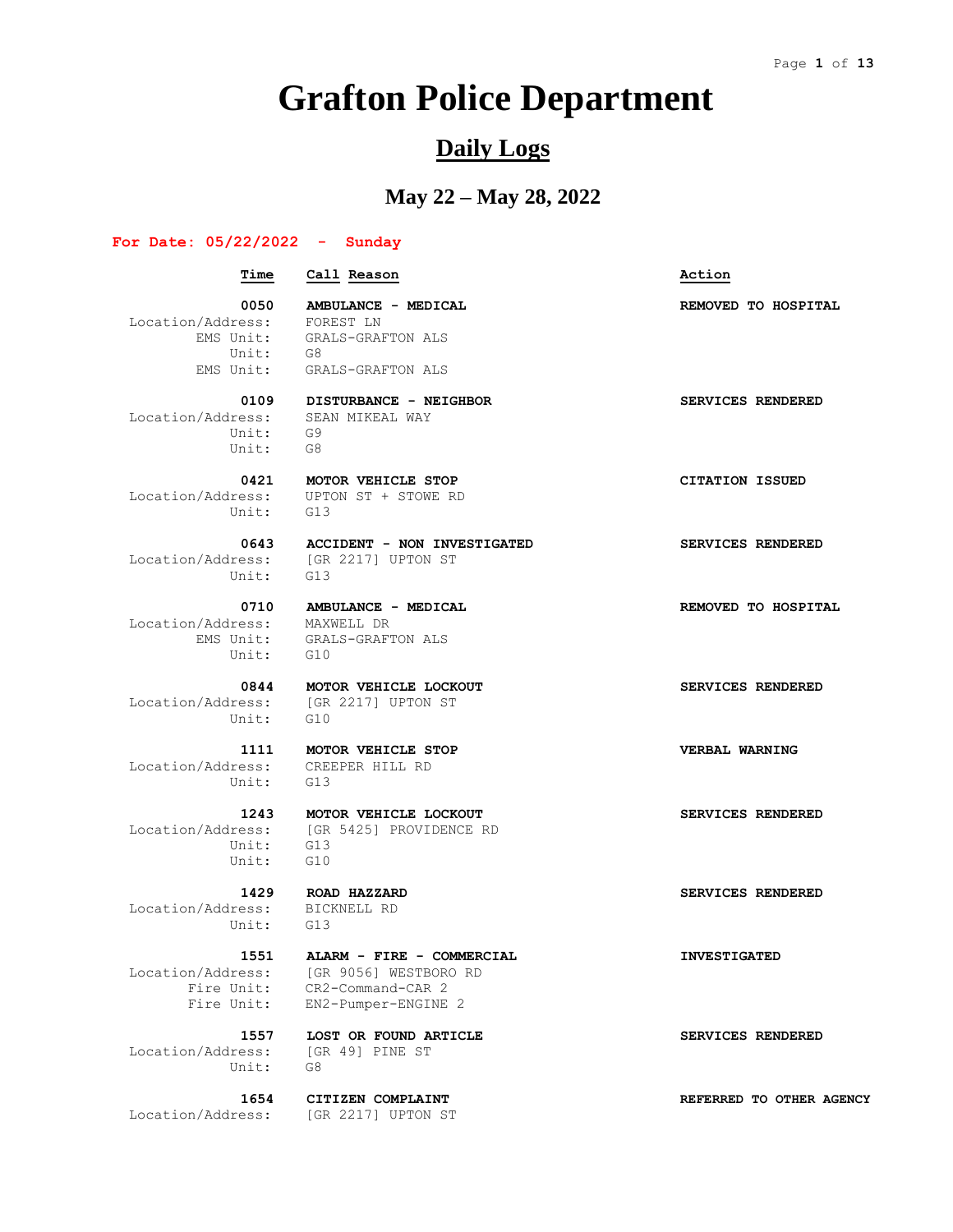# **Grafton Police Department**

## **Daily Logs**

## **May 22 – May 28, 2022**

#### **For Date: 05/22/2022 - Sunday**

 **Time Call Reason Action** 0050 **AMBULANCE - MEDICAL REMOVED** TO HOSPITAL Location/Address: FOREST LN EMS Unit: GRALS-GRAFTON ALS Unit: G8 EMS Unit: GRALS-GRAFTON ALS  **0109 DISTURBANCE - NEIGHBOR SERVICES RENDERED** Location/Address: Unit: G9 Unit: G8  **0421 MOTOR VEHICLE STOP CITATION ISSUED** Location/Address: UPTON ST + STOWE RD Unit: G13  **0643 ACCIDENT - NON INVESTIGATED SERVICES RENDERED** Location/Address: [GR 2217] UPTON ST Unit: G13  **0710 AMBULANCE - MEDICAL REMOVED TO HOSPITAL** Location/Address: MAXWELL DR EMS Unit: GRALS-GRAFTON ALS Unit: GRAD<br>Unit: G10  **0844 MOTOR VEHICLE LOCKOUT SERVICES RENDERED** Location/Address: [GR 2217] UPTON ST Unit: G10  **1111 MOTOR VEHICLE STOP VERBAL WARNING** Location/Address: CREEPER HILL RD Unit: G13  **1243 MOTOR VEHICLE LOCKOUT SERVICES RENDERED** Location/Address: [GR 5425] PROVIDENCE RD Unit: G13 Unit: G10  **1429 ROAD HAZZARD SERVICES RENDERED** Location/Address: BICKNELL RD Unit: G13  **1551 ALARM - FIRE - COMMERCIAL INVESTIGATED** Location/Address: [GR 9056] WESTBORO RD Fire Unit: CR2-Command-CAR 2 Fire Unit: EN2-Pumper-ENGINE 2  **1557 LOST OR FOUND ARTICLE SERVICES RENDERED**

 Location/Address: [GR 49] PINE ST Unit: G8

Location/Address: [GR 2217] UPTON ST

 **1654 CITIZEN COMPLAINT REFERRED TO OTHER AGENCY**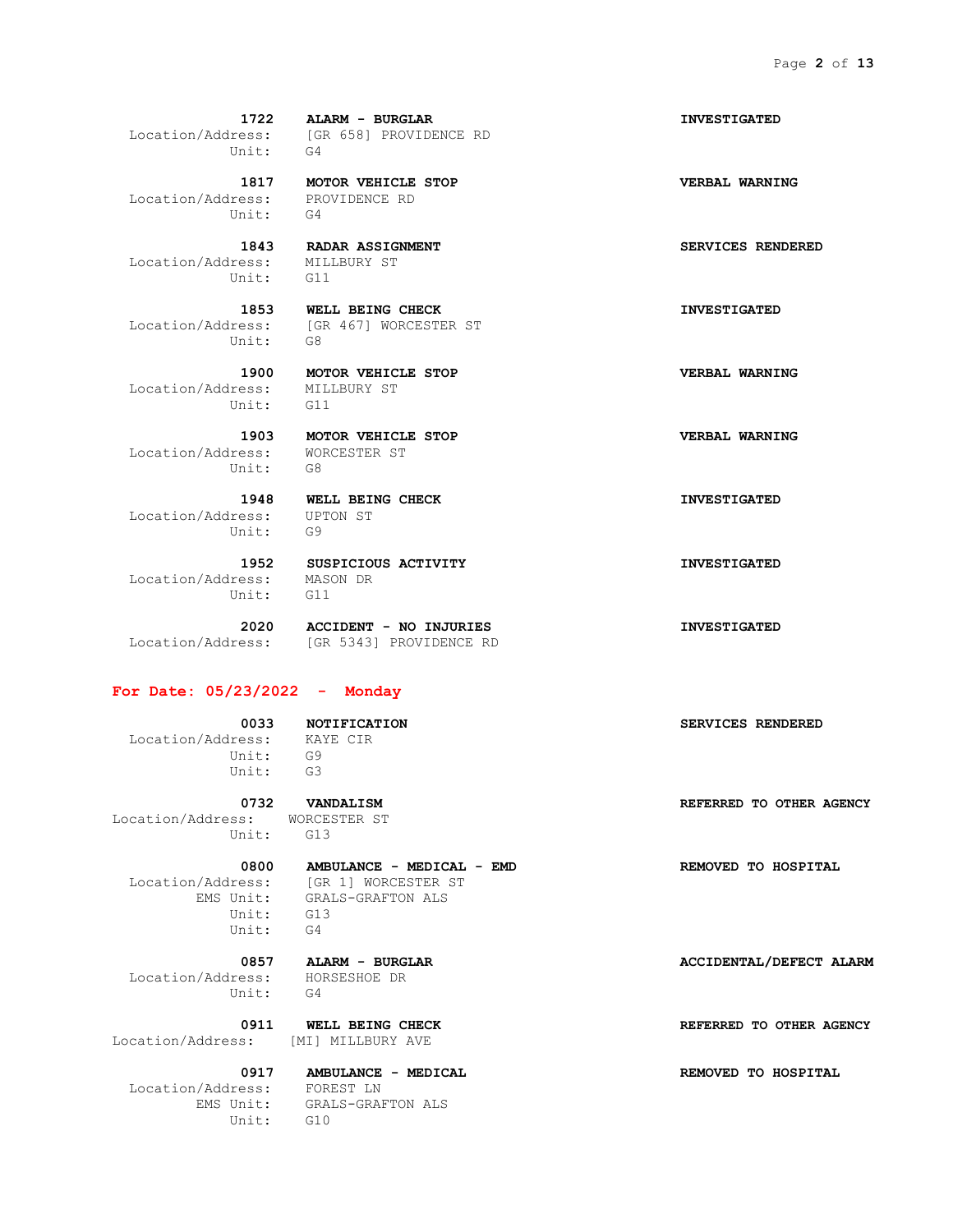Location/Address: PROVIDENCE RD Unit: G4

 Location/Address: MILLBURY ST Unit: G11

Unit: G8

 Location/Address: MILLBURY ST Unit: G11

 Location/Address: WORCESTER ST Unit: G8

 Location/Address: UPTON ST Unit: G9

 Location/Address: MASON DR Unit: G11

 **1952 SUSPICIOUS ACTIVITY INVESTIGATED**

## **For Date: 05/23/2022 - Monday**

 Location/Address: KAYE CIR Unit: G9 Unit: G3

Location/Address: WORCESTER ST Unit: G13

 Location/Address: [GR 1] WORCESTER ST EMS Unit: GRALS-GRAFTON ALS Unit: G13 Unit: G4

 Location/Address: HORSESHOE DR Unit: G4

Location/Address: [MI] MILLBURY AVE

 Location/Address: FOREST LN Unit: G10

 **1722 ALARM - BURGLAR INVESTIGATED** Location/Address: [GR 658] PROVIDENCE RD

 **1817 MOTOR VEHICLE STOP VERBAL WARNING**

 **1843 RADAR ASSIGNMENT SERVICES RENDERED**

 **1853 WELL BEING CHECK INVESTIGATED** Location/Address: [GR 467] WORCESTER ST

 **1900 MOTOR VEHICLE STOP VERBAL WARNING**

 **1903 MOTOR VEHICLE STOP VERBAL WARNING**

 **1948 WELL BEING CHECK INVESTIGATED**

 **2020 ACCIDENT - NO INJURIES INVESTIGATED** Location/Address: [GR 5343] PROVIDENCE RD

## **0033 NOTIFICATION SERVICES RENDERED**

 **0732 VANDALISM REFERRED TO OTHER AGENCY**

 **0800 AMBULANCE - MEDICAL - EMD REMOVED TO HOSPITAL**

 **0857 ALARM - BURGLAR ACCIDENTAL/DEFECT ALARM**

 **0911 WELL BEING CHECK REFERRED TO OTHER AGENCY**

EMS Unit: GRALS-GRAFTON ALS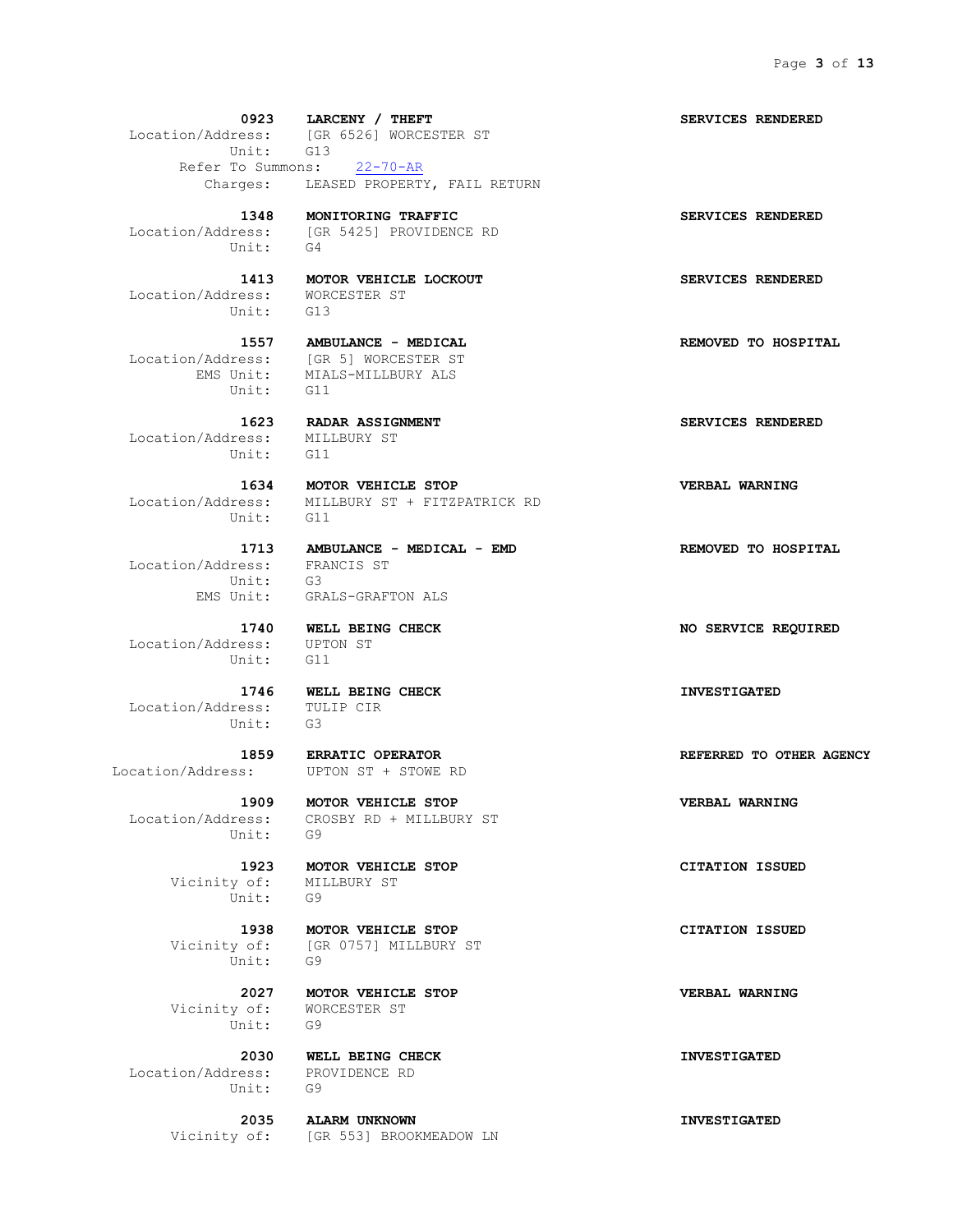**0923 LARCENY / THEFT SERVICES RENDERED** Location/Address: [GR 6526] WORCESTER ST Unit: G13 Refer To Summons: 22-70-AR Charges: LEASED PROPERTY, FAIL RETURN

Unit: G4

Location/Address: [GR 5425] PROVIDENCE RD

 Location/Address: WORCESTER ST Unit: G13

Location/Address: [GR 5] WORCESTER ST EMS Unit: MIALS-MILLBURY ALS Unit: G11

 **1623 RADAR ASSIGNMENT SERVICES RENDERED** Location/Address: MILLBURY ST Unit: G11

 **1634 MOTOR VEHICLE STOP VERBAL WARNING** Location/Address: MILLBURY ST + FITZPATRICK RD Unit: G11

 Location/Address: FRANCIS ST Unit: G3

 Location/Address: UPTON ST Unit: G11

 Location/Address: TULIP CIR Unit: G3

Unit: G9

 Vicinity of: MILLBURY ST Unit: G9

Unit: G9

 Vicinity of: WORCESTER ST Unit: G9

 Location/Address: PROVIDENCE RD Unit: G9

 **1713 AMBULANCE - MEDICAL - EMD REMOVED TO HOSPITAL** EMS Unit: GRALS-GRAFTON ALS

 **1746 WELL BEING CHECK INVESTIGATED**

Location/Address: UPTON ST + STOWE RD

 **1909 MOTOR VEHICLE STOP VERBAL WARNING** Location/Address: CROSBY RD + MILLBURY ST

 **1938 MOTOR VEHICLE STOP CITATION ISSUED** Vicinity of: [GR 0757] MILLBURY ST

 **2027 MOTOR VEHICLE STOP VERBAL WARNING**

 **2030 WELL BEING CHECK INVESTIGATED**

 **2035 ALARM UNKNOWN INVESTIGATED** Vicinity of: [GR 553] BROOKMEADOW LN

 **1348 MONITORING TRAFFIC SERVICES RENDERED**

 **1413 MOTOR VEHICLE LOCKOUT SERVICES RENDERED**

 **1557 AMBULANCE - MEDICAL REMOVED TO HOSPITAL**

 **1740 WELL BEING CHECK NO SERVICE REQUIRED**

 **1859 ERRATIC OPERATOR REFERRED TO OTHER AGENCY**

 **1923 MOTOR VEHICLE STOP CITATION ISSUED**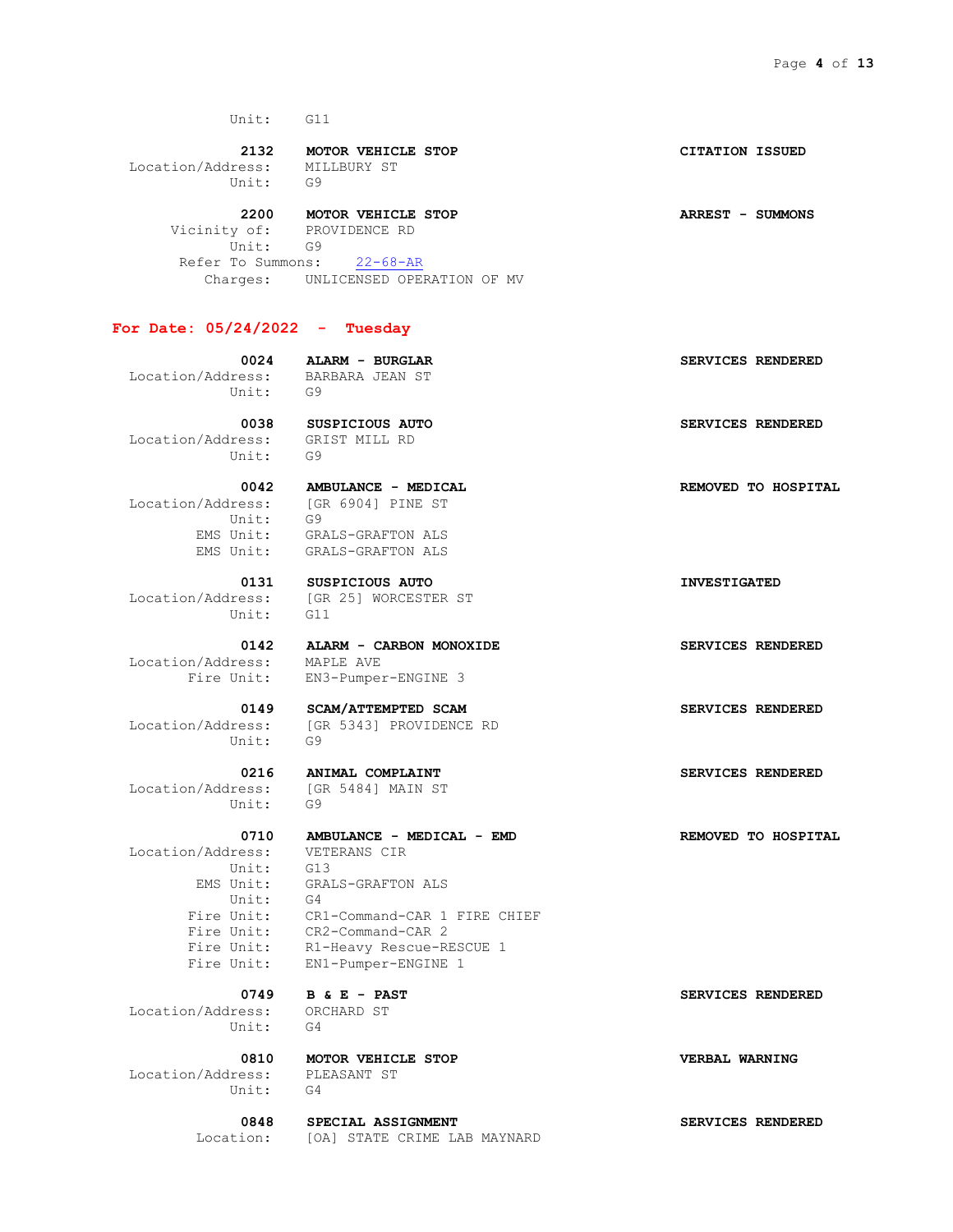**2132 MOTOR VEHICLE STOP CITATION ISSUED** Location/Address: MILLBURY ST Unit: G9

 **2200 MOTOR VEHICLE STOP ARREST - SUMMONS** Vicinity of: PROVIDENCE RD Unit: G9 Refer To Summons: 22-68-AR Charges: UNLICENSED OPERATION OF MV

## **For Date: 05/24/2022 - Tuesday**

 **0024 ALARM - BURGLAR SERVICES RENDERED** Location/Address: BARBARA JEAN ST Unit: G9

 **0038 SUSPICIOUS AUTO SERVICES RENDERED** Location/Address: GRIST MILL RD Unit: G9

 Location/Address: [GR 6904] PINE ST Unit: G9

Unit: G11

Location/Address: MAPLE AVE

Unit: G9

 Location/Address: [GR 5484] MAIN ST Unit: G9

 Location/Address: VETERANS CIR Unit: G13 Unit: G4

 Location/Address: ORCHARD ST Unit: G4

 Location/Address: PLEASANT ST Unit: G4

 **0810 MOTOR VEHICLE STOP VERBAL WARNING**

 **0848 SPECIAL ASSIGNMENT SERVICES RENDERED** Location: [OA] STATE CRIME LAB MAYNARD

 **0042 AMBULANCE - MEDICAL REMOVED TO HOSPITAL**

 EMS Unit: GRALS-GRAFTON ALS EMS Unit: GRALS-GRAFTON ALS

Location/Address: [GR 25] WORCESTER ST

 **0142 ALARM - CARBON MONOXIDE SERVICES RENDERED** Fire Unit: EN3-Pumper-ENGINE 3

 **0149 SCAM/ATTEMPTED SCAM SERVICES RENDERED** Location/Address: [GR 5343] PROVIDENCE RD

 **0216 ANIMAL COMPLAINT SERVICES RENDERED**

 EMS Unit: GRALS-GRAFTON ALS Fire Unit: CR1-Command-CAR 1 FIRE CHIEF Fire Unit: CR2-Command-CAR 2 Fire Unit: R1-Heavy Rescue-RESCUE 1 Fire Unit: EN1-Pumper-ENGINE 1

 **0749 B & E - PAST SERVICES RENDERED**

 **0131 SUSPICIOUS AUTO INVESTIGATED**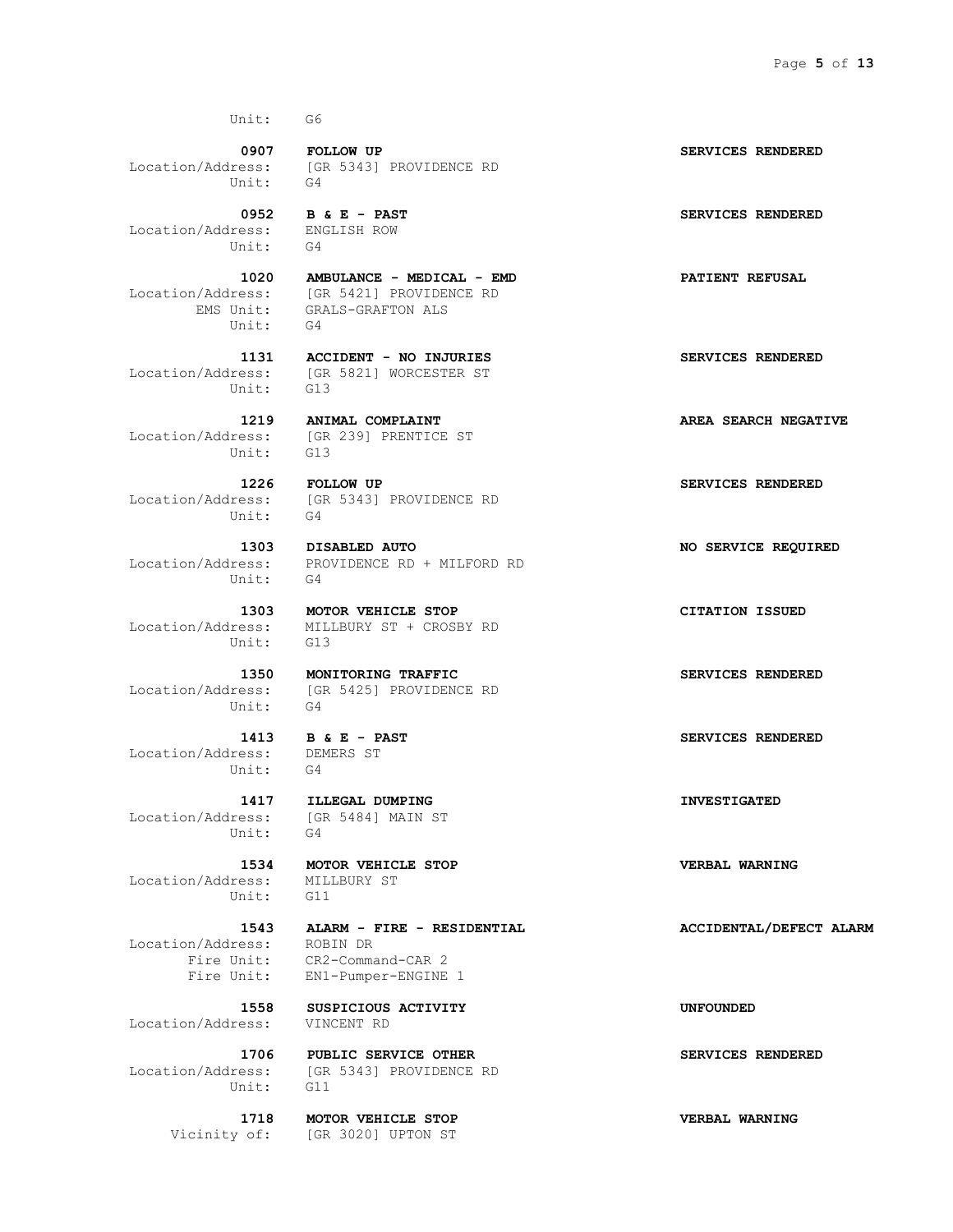Unit: G4

 Location/Address: ENGLISH ROW Unit: G4

Unit: G4

Unit: G13

Unit:

Unit: G4

Unit: G4

Unit: G13

Unit: G4

 Location/Address: DEMERS ST Unit: G4

Location/Address: [GR 5484] MAIN ST Unit: G4

 Location/Address: MILLBURY ST Unit: G11

Location/Address: ROBIN DR

Location/Address: VINCENT RD

Unit: G11

 **0907 FOLLOW UP SERVICES RENDERED** Location/Address: [GR 5343] PROVIDENCE RD

 **0952 B & E - PAST SERVICES RENDERED**

 **1020 AMBULANCE - MEDICAL - EMD PATIENT REFUSAL** Location/Address: [GR 5421] PROVIDENCE RD EMS Unit: GRALS-GRAFTON ALS

## **1131 ACCIDENT - NO INJURIES SERVICES RENDERED** Location/Address: [GR 5821] WORCESTER ST

Location/Address: [GR 239] PRENTICE ST

 **1226 FOLLOW UP SERVICES RENDERED** Location/Address: [GR 5343] PROVIDENCE RD

 **1303 DISABLED AUTO NO SERVICE REQUIRED** Location/Address: PROVIDENCE RD + MILFORD RD

 **1303 MOTOR VEHICLE STOP CITATION ISSUED** Location/Address: MILLBURY ST + CROSBY RD

 **1350 MONITORING TRAFFIC SERVICES RENDERED** Location/Address: [GR 5425] PROVIDENCE RD

 **1417 ILLEGAL DUMPING INVESTIGATED**

 **1534 MOTOR VEHICLE STOP VERBAL WARNING**

 **1543 ALARM - FIRE - RESIDENTIAL ACCIDENTAL/DEFECT ALARM** Fire Unit: CR2-Command-CAR 2 Fire Unit: EN1-Pumper-ENGINE 1

 **1558 SUSPICIOUS ACTIVITY UNFOUNDED**

 **1706 PUBLIC SERVICE OTHER SERVICES RENDERED** Location/Address: [GR 5343] PROVIDENCE RD

 **1718 MOTOR VEHICLE STOP VERBAL WARNING** Vicinity of: [GR 3020] UPTON ST

 **1219 ANIMAL COMPLAINT AREA SEARCH NEGATIVE**

 **1413 B & E - PAST SERVICES RENDERED**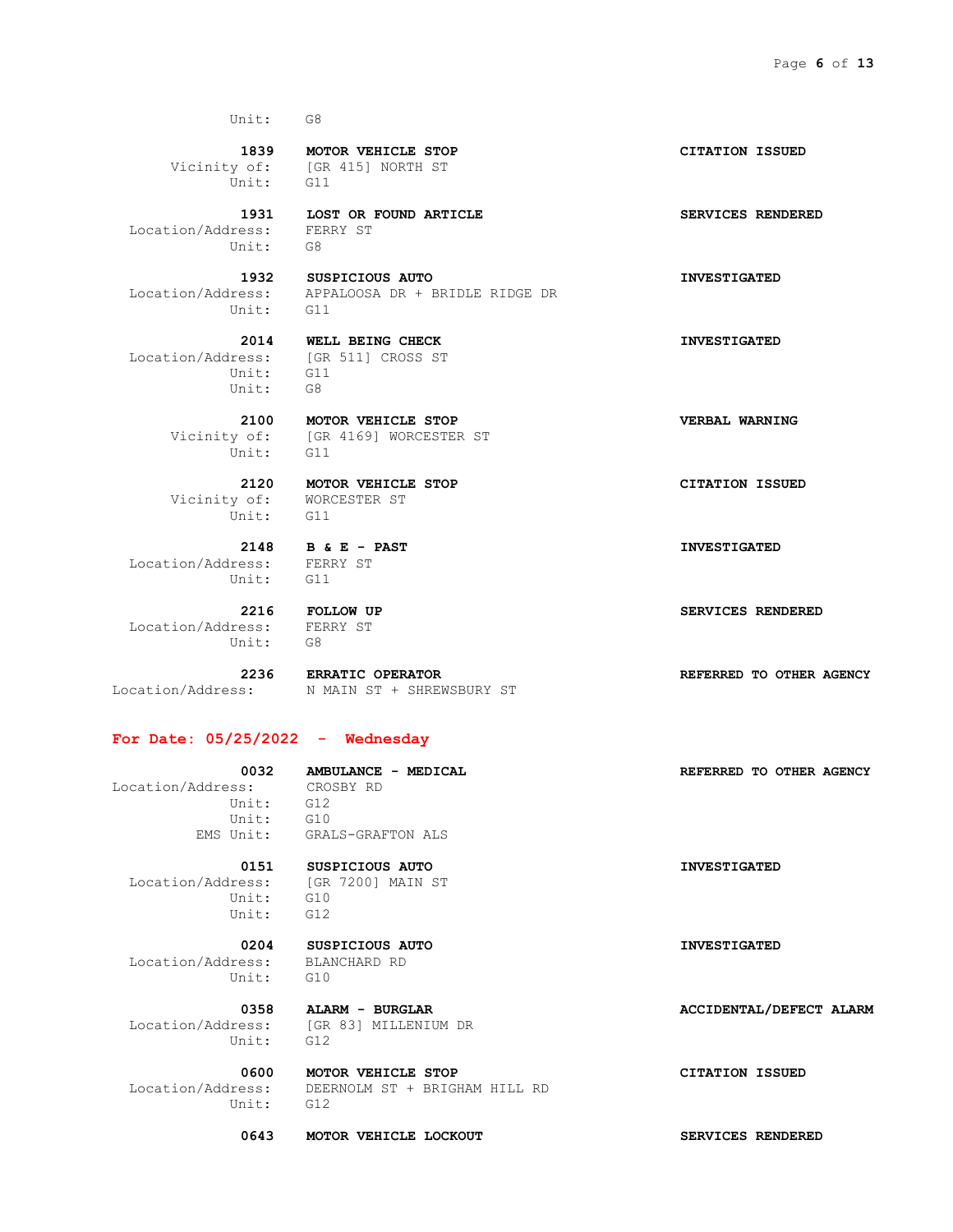Unit: G11

 Location/Address: FERRY ST Unit: G8

Unit: G11

 Unit: G11 Unit: G8

Vicinity of: [GR 4169] WORCESTER ST<br>Unit: G11 Unit:

 Vicinity of: WORCESTER ST Unit: G11

 Location/Address: FERRY ST Unit: G11

 Location/Address: FERRY ST Unit: G8

 **2236 ERRATIC OPERATOR REFERRED TO OTHER AGENCY** Location/Address: N MAIN ST + SHREWSBURY ST

## **For Date: 05/25/2022 - Wednesday**

Location/Address: Unit: G12 Unit: G10

EMS Unit: GRALS-GRAFTON ALS

 Location/Address: [GR 7200] MAIN ST Unit: G10 Unit: G12

 **0204 SUSPICIOUS AUTO INVESTIGATED** Location/Address: BLANCHARD RD Unit: G10

 Location/Address: [GR 83] MILLENIUM DR Unit: G12

Unit: G12

Location/Address: DEERNOLM ST + BRIGHAM HILL RD

0643 MOTOR VEHICLE LOCKOUT **SERVICES RENDERED** 

 **1839 MOTOR VEHICLE STOP CITATION ISSUED** Vicinity of: [GR 415] NORTH ST

 **1931 LOST OR FOUND ARTICLE SERVICES RENDERED**

 **1932 SUSPICIOUS AUTO INVESTIGATED** Location/Address: APPALOOSA DR + BRIDLE RIDGE DR

 **2014 WELL BEING CHECK INVESTIGATED** Location/Address: [GR 511] CROSS ST

 **2100 MOTOR VEHICLE STOP VERBAL WARNING**

 **2120 MOTOR VEHICLE STOP CITATION ISSUED**

 **2148 B & E - PAST INVESTIGATED**

 **2216 FOLLOW UP SERVICES RENDERED**

 **0032 AMBULANCE - MEDICAL REFERRED TO OTHER AGENCY**

 **0151 SUSPICIOUS AUTO INVESTIGATED**

0358 **ALARM** - **BURGLAR ACCIDENTAL/DEFECT ALARM** 

 **0600 MOTOR VEHICLE STOP CITATION ISSUED**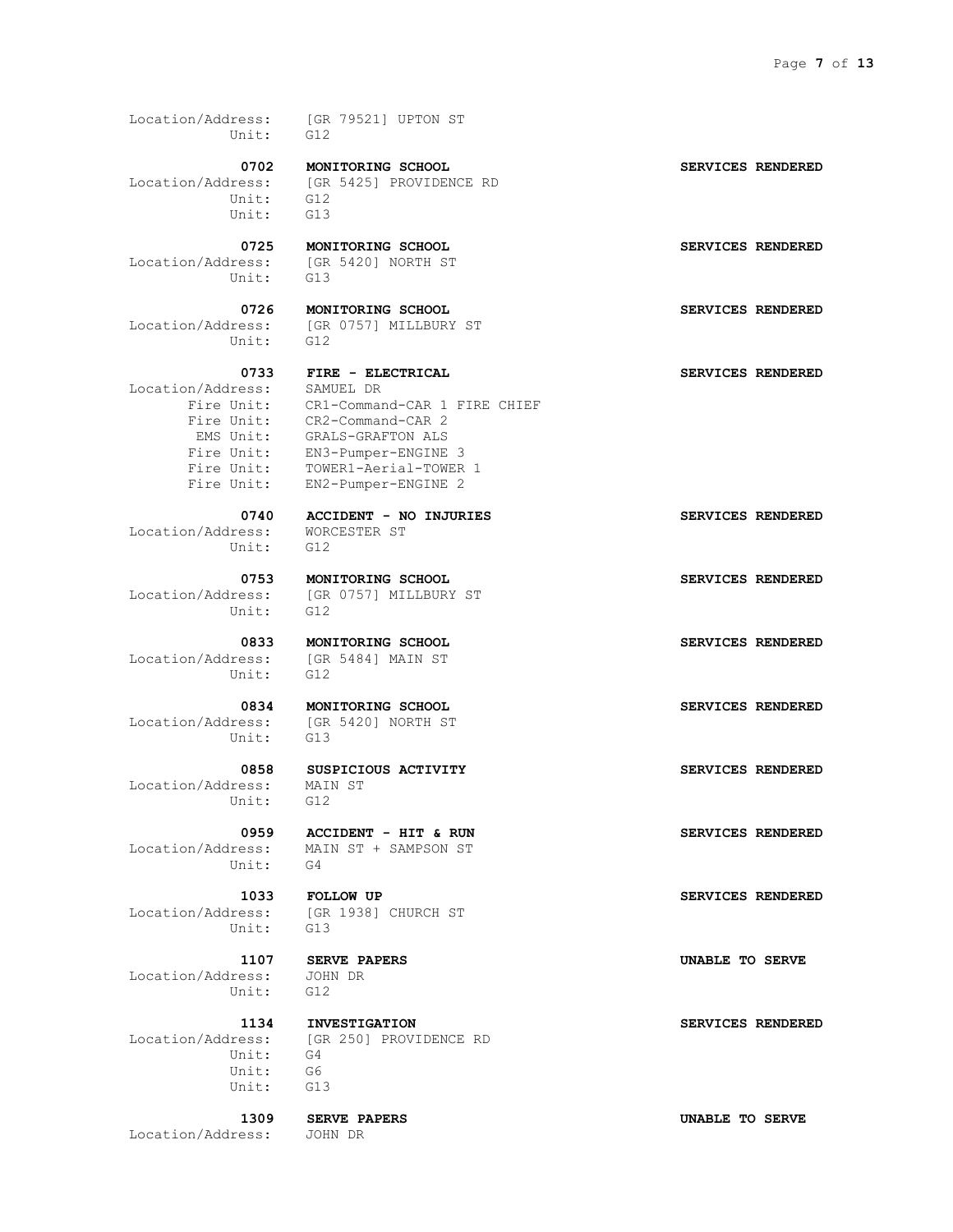Location/Address: [GR 79521] UPTON ST Unit: G12

 Location/Address: [GR 5425] PROVIDENCE RD Unit: G12 Unit: G13

Unit: G13

Unit: G12

 Location/Address: SAMUEL DR Fire Unit: EN2-Pumper-ENGINE 2

 Location/Address: WORCESTER ST Unit: G12

Unit: G12

 Location/Address: [GR 5484] MAIN ST Unit: G12

Unit: G13

 Location/Address: MAIN ST Unit: G12

Unit: G4

Unit: G13

 Location/Address: JOHN DR Unit: G12

 Unit: G4 Unit: G6 Unit: G13

Location/Address: JOHN DR

 **0702 MONITORING SCHOOL SERVICES RENDERED**

Location/Address: [GR 5420] NORTH ST

 **0726 MONITORING SCHOOL SERVICES RENDERED** Location/Address: [GR 0757] MILLBURY ST

 **0733 FIRE - ELECTRICAL SERVICES RENDERED** Fire Unit: CR1-Command-CAR 1 FIRE CHIEF Fire Unit: CR2-Command-CAR 2 EMS Unit: GRALS-GRAFTON ALS Fire Unit: EN3-Pumper-ENGINE 3 Fire Unit: TOWER1-Aerial-TOWER 1

 **0740 ACCIDENT - NO INJURIES SERVICES RENDERED**

Location/Address: [GR 0757] MILLBURY ST

 **0834 MONITORING SCHOOL SERVICES RENDERED** Location/Address: [GR 5420] NORTH ST

 **0959 ACCIDENT - HIT & RUN SERVICES RENDERED** Location/Address: MAIN ST + SAMPSON ST

Location/Address: [GR 1938] CHURCH ST

 **1134 INVESTIGATION SERVICES RENDERED** Location/Address: [GR 250] PROVIDENCE RD

 **0725 MONITORING SCHOOL SERVICES RENDERED**

 **0753 MONITORING SCHOOL SERVICES RENDERED**

0833 **MONITORING SCHOOL SERVICES RENDERED** 

 **0858 SUSPICIOUS ACTIVITY SERVICES RENDERED**

 **1033 FOLLOW UP SERVICES RENDERED**

 **1107 SERVE PAPERS UNABLE TO SERVE**

 **1309 SERVE PAPERS UNABLE TO SERVE**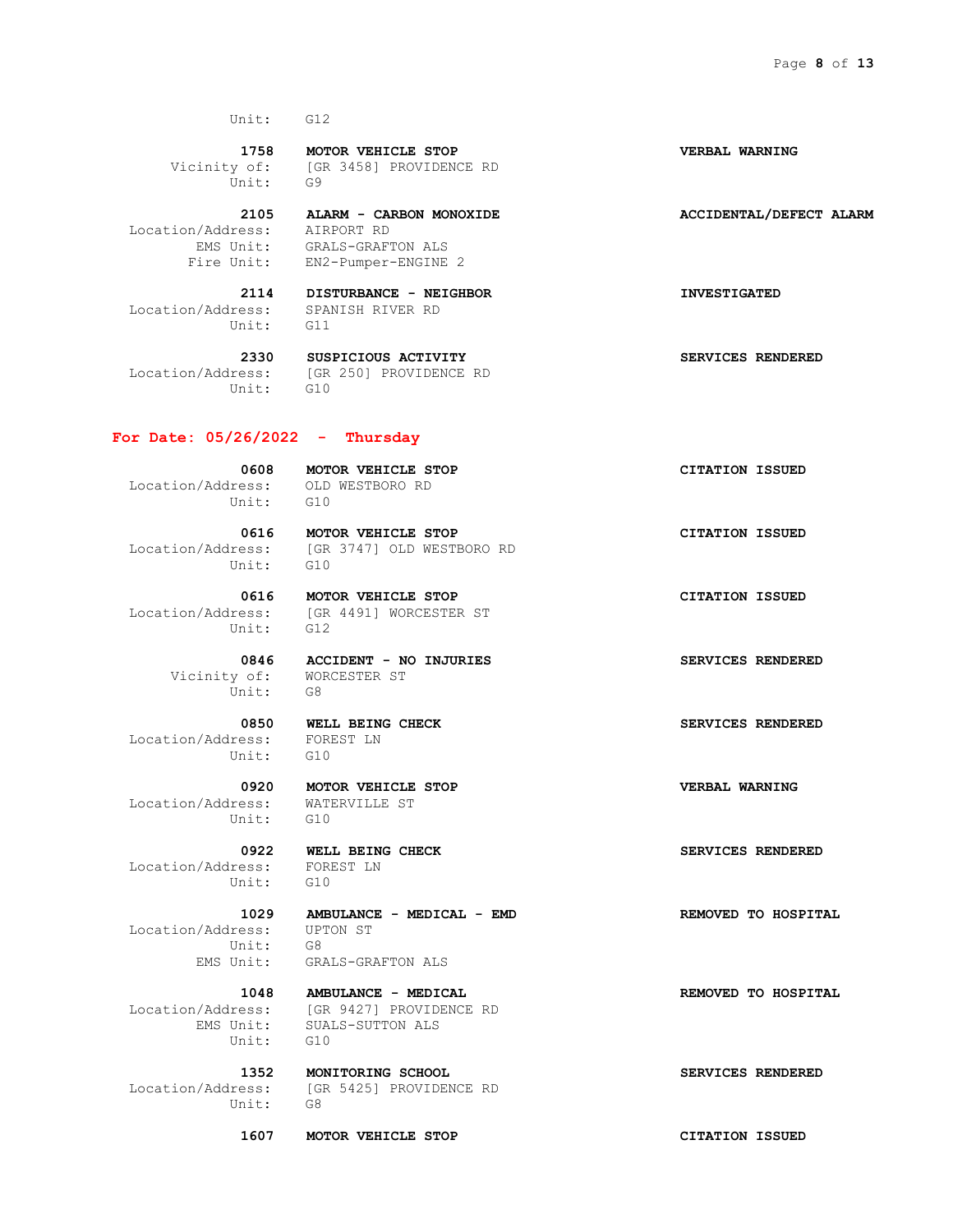**1758 MOTOR VEHICLE STOP VERBAL WARNING** Vicinity of: [GR 3458] PROVIDENCE RD Unit: G9

 **2105 ALARM - CARBON MONOXIDE ACCIDENTAL/DEFECT ALARM** Location/Address: AIRPORT RD EMS Unit: GRALS-GRAFTON ALS Fire Unit: EN2-Pumper-ENGINE 2

 Location/Address: SPANISH RIVER RD Unit: G11

Unit: G10

 **2330 SUSPICIOUS ACTIVITY SERVICES RENDERED** Location/Address: [GR 250] PROVIDENCE RD

## **For Date: 05/26/2022 - Thursday**

 Location/Address: OLD WESTBORO RD Unit: G10

0608 **MOTOR VEHICLE STOP CITATION ISSUED** 

0616 **MOTOR VEHICLE STOP CITATION ISSUED**  Location/Address: [GR 3747] OLD WESTBORO RD Unit: G10

 Location/Address: [GR 4491] WORCESTER ST Unit: G12

> Vicinity of: WORCESTER ST Unit: G8

 Location/Address: FOREST LN Unit: G10

 Location/Address: WATERVILLE ST Unit: G10

 Location/Address: FOREST LN Unit: G10

 Location/Address: UPTON ST Unit: G8 EMS Unit: GRALS-GRAFTON ALS

Location/Address: [GR 9427] PROVIDENCE RD 1/Address: [GR 9427] PROVIDE<br>EMS Unit: SUALS-SUTTON ALS Unit: G10

 Location/Address: [GR 5425] PROVIDENCE RD Unit: G8

 **1352 MONITORING SCHOOL SERVICES RENDERED**

 **1607 MOTOR VEHICLE STOP CITATION ISSUED**

 **2114 DISTURBANCE - NEIGHBOR INVESTIGATED**

 **0616 MOTOR VEHICLE STOP CITATION ISSUED**

 **0846 ACCIDENT - NO INJURIES SERVICES RENDERED**

0850 **WELL BEING CHECK SERVICES RENDERED** 

 **0920 MOTOR VEHICLE STOP VERBAL WARNING**

 **0922 WELL BEING CHECK SERVICES RENDERED**

 **1029 AMBULANCE - MEDICAL - EMD REMOVED TO HOSPITAL**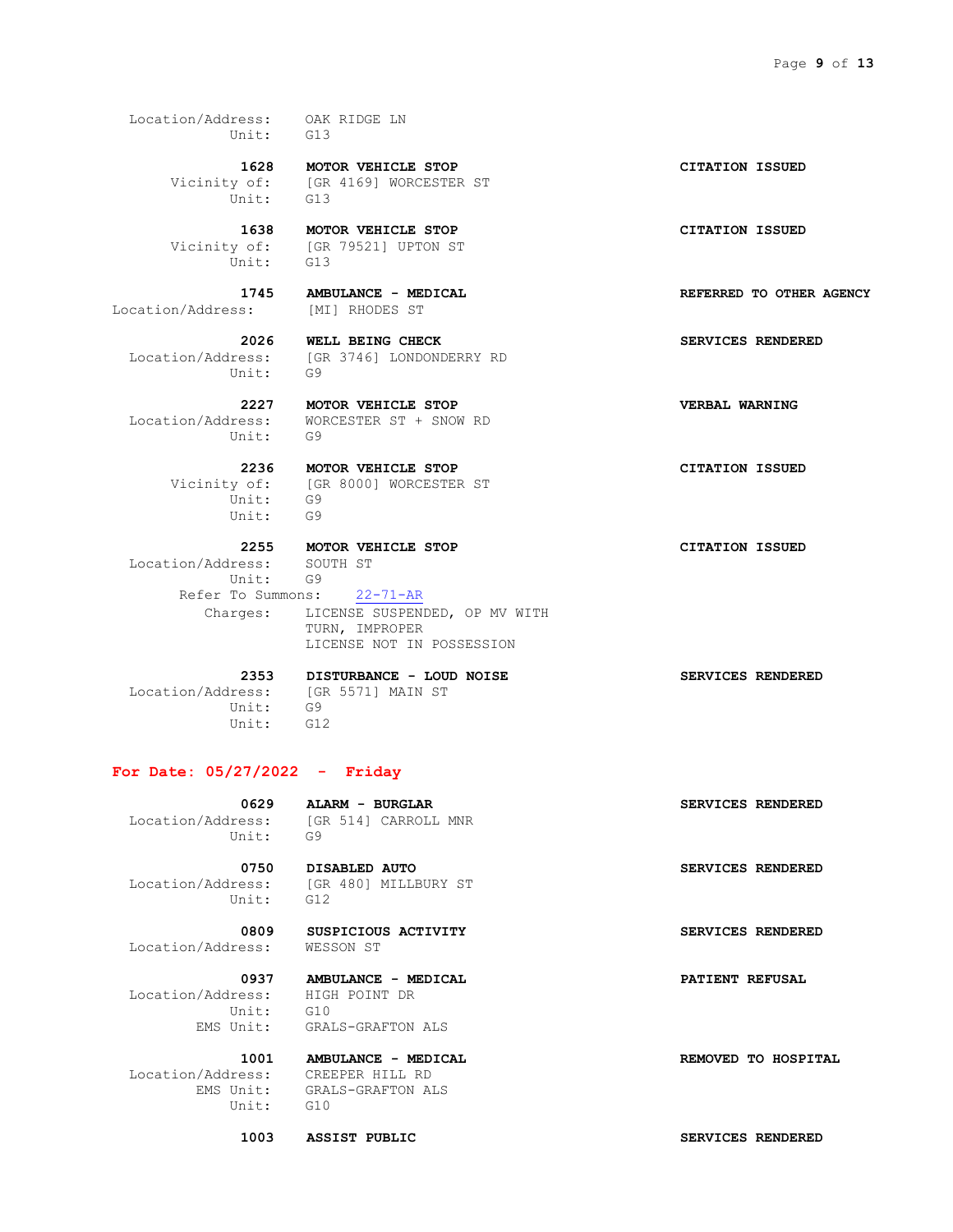Location/Address: OAK RIDGE LN Unit: G13

> **1628 MOTOR VEHICLE STOP CITATION ISSUED** Vicinity of: [GR 4169] WORCESTER ST Unit: G13

 Vicinity of: [GR 79521] UPTON ST Unit: G13

Location/Address: [MI] RHODES ST

Location/Address: [GR 3746] LONDONDERRY RD Unit: G9

Unit: G9

Location/Address: WORCESTER ST + SNOW RD

 Vicinity of: [GR 8000] WORCESTER ST Unit: G9 Unit: G9

 **2255 MOTOR VEHICLE STOP CITATION ISSUED**

 Location/Address: SOUTH ST Unit: G9 Refer To Summons: 22-71-AR Charges: LICENSE SUSPENDED, OP MV WITH TURN, IMPROPER LICENSE NOT IN POSSESSION

 Location/Address: [GR 5571] MAIN ST Unit: G9 Unit: G12

 **2353 DISTURBANCE - LOUD NOISE SERVICES RENDERED**

#### **For Date: 05/27/2022 - Friday**

 **0629 ALARM - BURGLAR SERVICES RENDERED** Location/Address: [GR 514] CARROLL MNR Unit: G9

 Location/Address: [GR 480] MILLBURY ST Unit: G12

0809 SUSPICIOUS ACTIVITY **SERVICES RENDERED** 

Location/Address: WESSON ST

 **0937 AMBULANCE - MEDICAL PATIENT REFUSAL** Location/Address: HIGH POINT DR Unit: G10 EMS Unit: GRALS-GRAFTON ALS

Location/Address: CREEPER HILL RD<br>EMS Unit: GRALS-GRAFTON AL Unit: G10

GRALS-GRAFTON ALS

 **1003 ASSIST PUBLIC SERVICES RENDERED**

 **1638 MOTOR VEHICLE STOP CITATION ISSUED**

 **1745 AMBULANCE - MEDICAL REFERRED TO OTHER AGENCY**

 **2026 WELL BEING CHECK SERVICES RENDERED**

 **2227 MOTOR VEHICLE STOP VERBAL WARNING**

 **2236 MOTOR VEHICLE STOP CITATION ISSUED**

 **0750 DISABLED AUTO SERVICES RENDERED**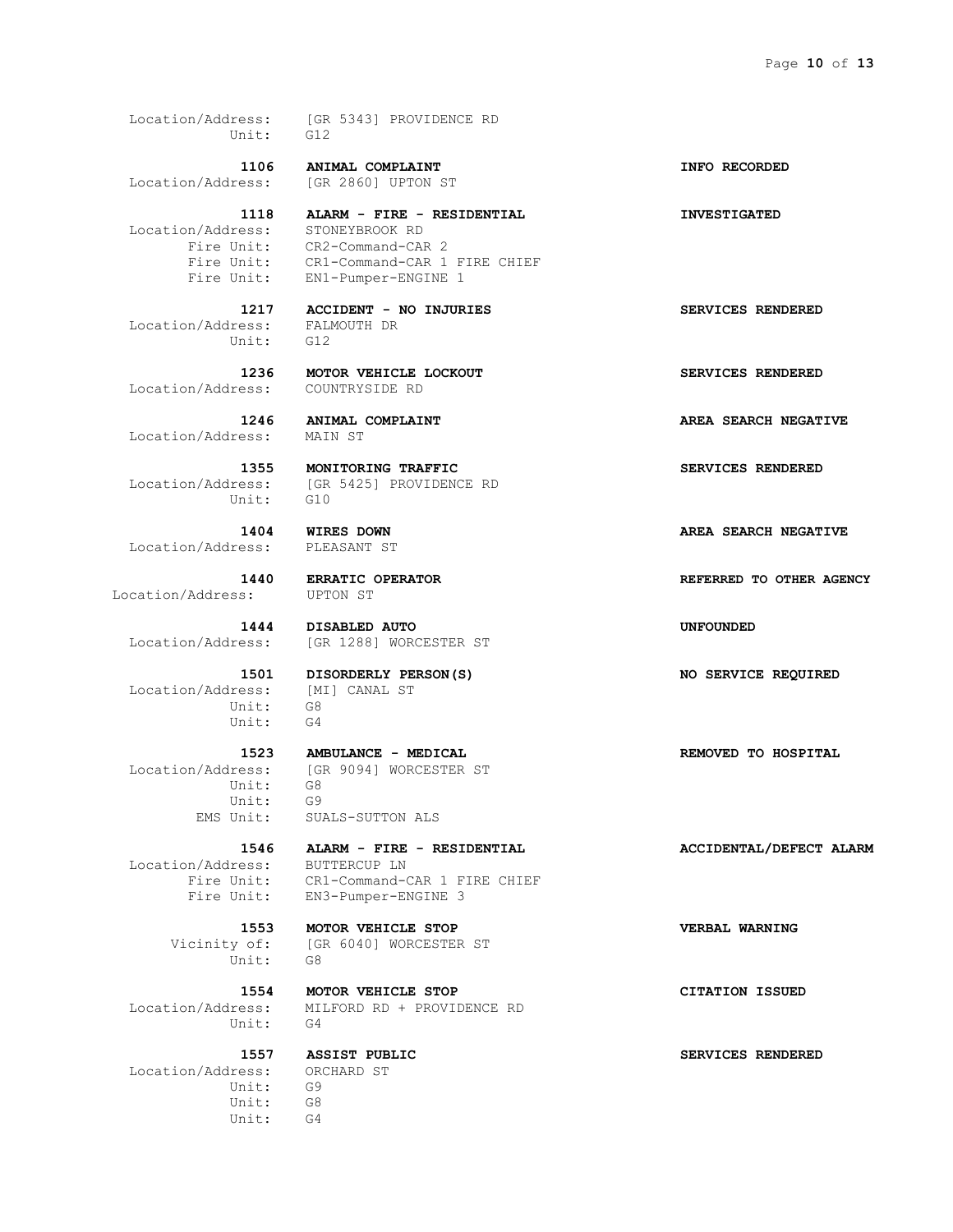Location/Address: [GR 5343] PROVIDENCE RD Unit: G12

Location/Address: [GR 2860] UPTON ST

Location/Address: STONEYBROOK RD

 Location/Address: FALMOUTH DR Unit: G12

Location/Address: COUNTRYSIDE RD

 **1246 ANIMAL COMPLAINT AREA SEARCH NEGATIVE**

Location/Address: MAIN ST

Location/Address: [GR<br>Unit: G10

Location/Address: PLEASANT ST

Location/Address: UPTON ST

 Location/Address: [MI] CANAL ST Unit: G8 Unit: G4

Unit: G8

 Unit: G9 EMS Unit: SUALS-SUTTON ALS

 Location/Address: BUTTERCUP LN Fire Unit: EN3-Pumper-ENGINE 3

Unit: G8

Unit: G4

 Location/Address: ORCHARD ST Unit: G9 Unit: G8 Unit: G4

 **1106 ANIMAL COMPLAINT INFO RECORDED**

 **1118 ALARM - FIRE - RESIDENTIAL INVESTIGATED** Fire Unit: CR2-Command-CAR 2 Fire Unit: CR1-Command-CAR 1 FIRE CHIEF Fire Unit: EN1-Pumper-ENGINE 1

 **1217 ACCIDENT - NO INJURIES SERVICES RENDERED**

 **1236 MOTOR VEHICLE LOCKOUT SERVICES RENDERED**

 **1355 MONITORING TRAFFIC SERVICES RENDERED** [GR 5425] PROVIDENCE RD

 **1444 DISABLED AUTO UNFOUNDED** Location/Address: [GR 1288] WORCESTER ST

 **1501 DISORDERLY PERSON(S) NO SERVICE REQUIRED**

Location/Address: [GR 9094] WORCESTER ST

 **1546 ALARM - FIRE - RESIDENTIAL ACCIDENTAL/DEFECT ALARM** Fire Unit: CR1-Command-CAR 1 FIRE CHIEF

 **1553 MOTOR VEHICLE STOP VERBAL WARNING** Vicinity of: [GR 6040] WORCESTER ST

 **1554 MOTOR VEHICLE STOP CITATION ISSUED** Location/Address: MILFORD RD + PROVIDENCE RD

 **1523 AMBULANCE - MEDICAL REMOVED TO HOSPITAL**

 **1557 ASSIST PUBLIC SERVICES RENDERED**

 **1404 WIRES DOWN AREA SEARCH NEGATIVE 1440 ERRATIC OPERATOR REFERRED TO OTHER AGENCY**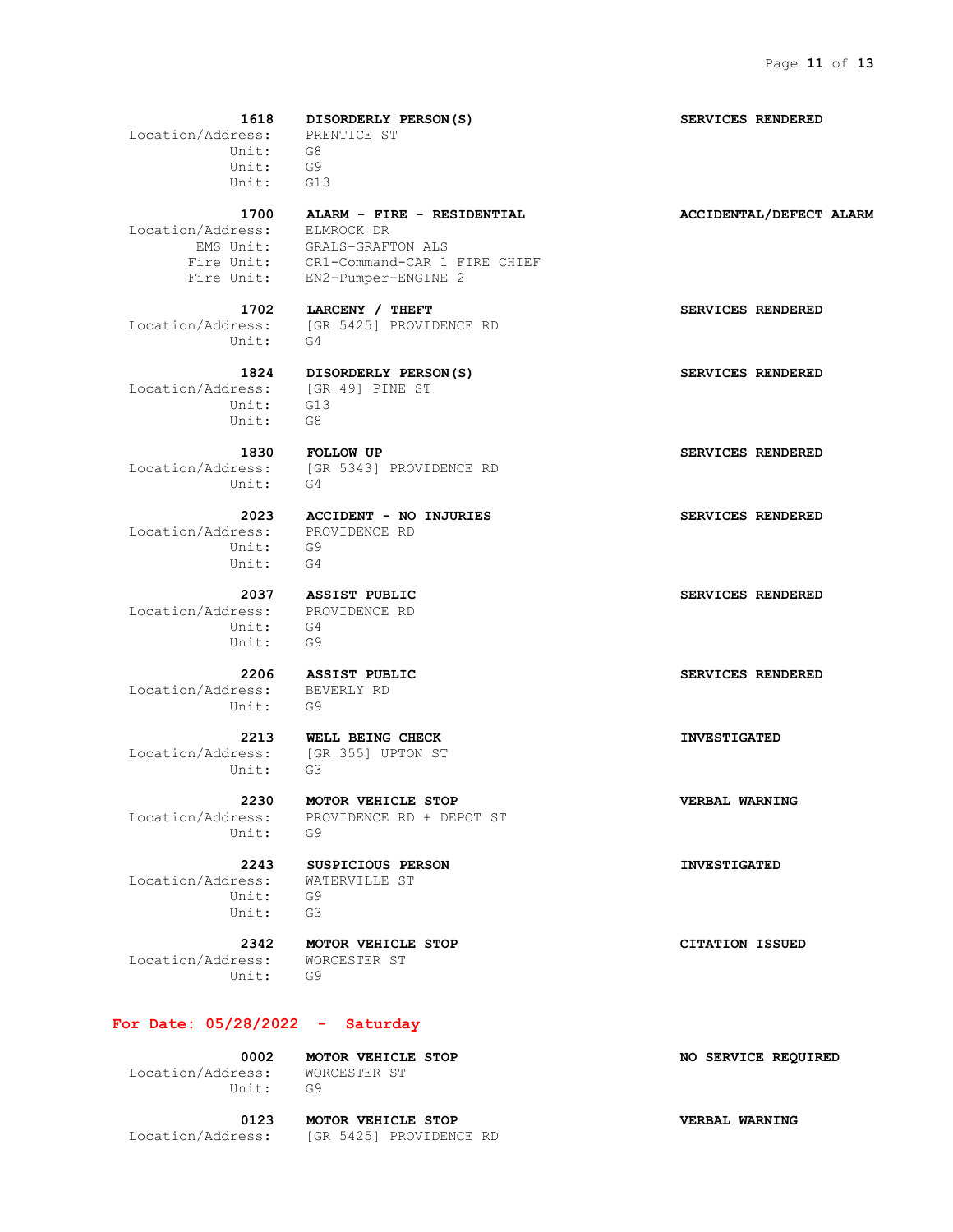**1618 DISORDERLY PERSON(S) SERVICES RENDERED** Location/Address: PRENTICE ST Unit: G8 Unit: G9 Unit: G13  **1700 ALARM - FIRE - RESIDENTIAL ACCIDENTAL/DEFECT ALARM** Location/Address: ELMROCK DR EMS Unit: GRALS-GRAFTON ALS Fire Unit: CR1-Command-CAR 1 FIRE CHIEF Fire Unit: EN2-Pumper-ENGINE 2  **1702 LARCENY / THEFT SERVICES RENDERED** Location/Address: [GR 5425] PROVIDENCE RD Unit: G4  **1824 DISORDERLY PERSON(S) SERVICES RENDERED** Location/Address: [GR 49] PINE ST Unit: G13 Unit: G8  **1830 FOLLOW UP SERVICES RENDERED** Location/Address: [GR 5343] PROVIDENCE RD Unit: G4  **2023 ACCIDENT - NO INJURIES SERVICES RENDERED** Location/Address: PROVIDENCE RD Unit: G9 Unit: G4  **2037 ASSIST PUBLIC SERVICES RENDERED** Location/Address: PROVIDENCE RD Unit: G4 Unit: G9  **2206 ASSIST PUBLIC SERVICES RENDERED** Location/Address: BEVERLY RD Unit: G9  **2213 WELL BEING CHECK INVESTIGATED** Location/Address: [GR 355] UPTON ST Unit: G3  **2230 MOTOR VEHICLE STOP VERBAL WARNING** Location/Address: PROVIDENCE RD + DEPOT ST Unit: G9  **2243 SUSPICIOUS PERSON INVESTIGATED** Location/Address: WATERVILLE ST Unit: G9

 **2342 MOTOR VEHICLE STOP CITATION ISSUED** Location/Address: WORCESTER ST

Unit: G9

## **For Date: 05/28/2022 - Saturday**

Unit: G3

 **0002 MOTOR VEHICLE STOP NO SERVICE REQUIRED** Location/Address: WORCESTER ST Unit: G9  **0123 MOTOR VEHICLE STOP VERBAL WARNING**

Location/Address: [GR 5425] PROVIDENCE RD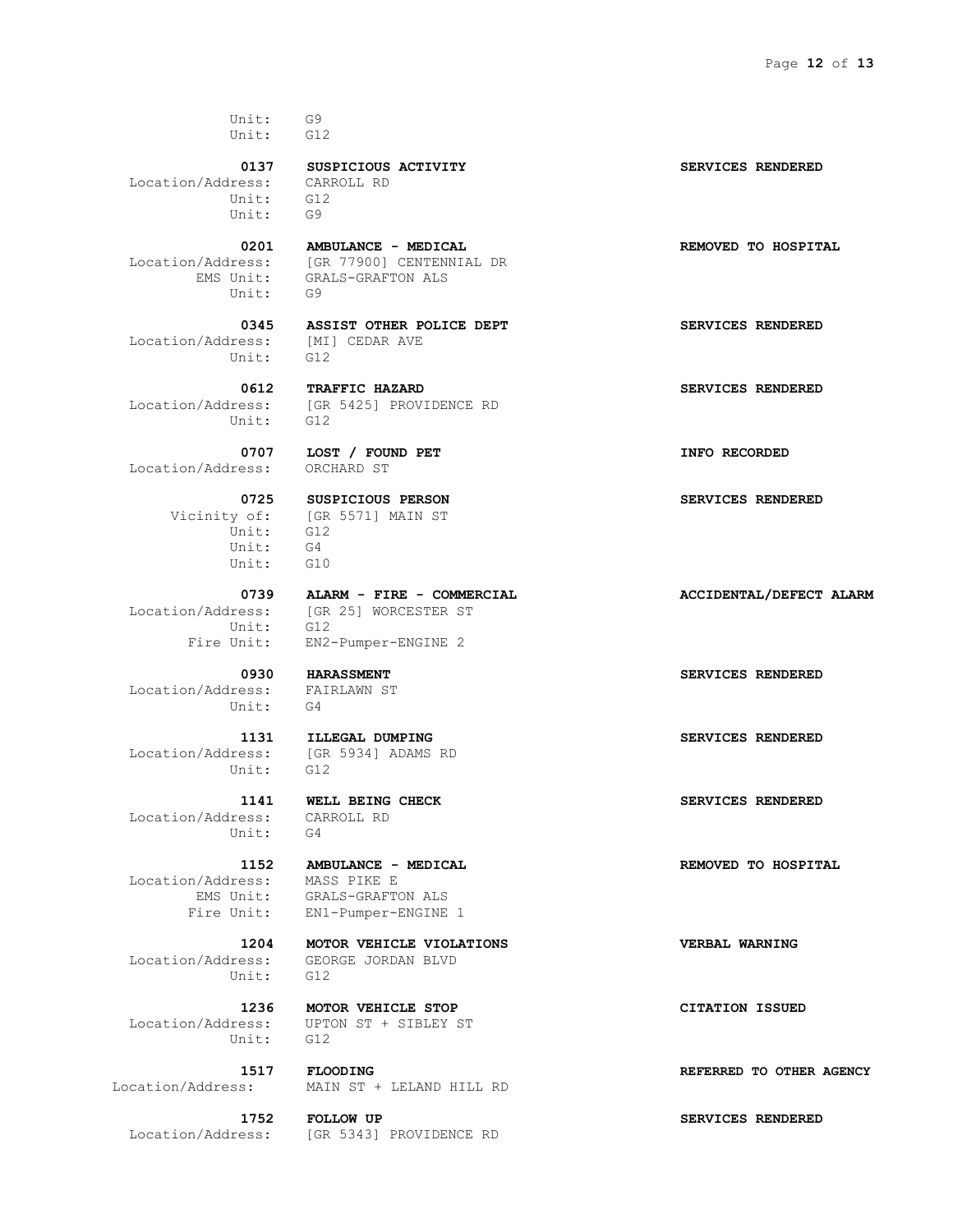Unit: G9 Unit: G12

 Location/Address: CARROLL RD Unit: G12 Unit: G9

 Location/Address: [GR 77900] CENTENNIAL DR Unit: G9

 Location/Address: [MI] CEDAR AVE Unit: G12

Unit: G12

Location/Address: ORCHARD ST

 Vicinity of: [GR 5571] MAIN ST Unit: G12 Unit: G4 Unit: G10

Unit: G12

 Location/Address: FAIRLAWN ST Unit: G4

 Location/Address: [GR 5934] ADAMS RD Unit: G12

 Location/Address: CARROLL RD Unit: G4

Location/Address: MASS PIKE E

Unit: G12

Unit: G12

 **0201 AMBULANCE - MEDICAL REMOVED TO HOSPITAL**

EMS Unit: GRALS-GRAFTON ALS

 **0345 ASSIST OTHER POLICE DEPT SERVICES RENDERED**

 **0612 TRAFFIC HAZARD SERVICES RENDERED** Location/Address: [GR 5425] PROVIDENCE RD

0707 **LOST / FOUND PET INFO RECORDED** 

 **0725 SUSPICIOUS PERSON SERVICES RENDERED**

 **0739 ALARM - FIRE - COMMERCIAL ACCIDENTAL/DEFECT ALARM** Location/Address: [GR 25] WORCESTER ST Fire Unit: EN2-Pumper-ENGINE 2

 EMS Unit: GRALS-GRAFTON ALS Fire Unit: EN1-Pumper-ENGINE 1

 **1204 MOTOR VEHICLE VIOLATIONS VERBAL WARNING** Location/Address: GEORGE JORDAN BLVD

 **1236 MOTOR VEHICLE STOP CITATION ISSUED** Location/Address: UPTON ST + SIBLEY ST

 **1517 FLOODING REFERRED TO OTHER AGENCY** MAIN ST + LELAND HILL RD

 **1752 FOLLOW UP SERVICES RENDERED** Location/Address: [GR 5343] PROVIDENCE RD

0137 SUSPICIOUS ACTIVITY **SERVICES RENDERED** 

 **0930 HARASSMENT SERVICES RENDERED**

 **1131 ILLEGAL DUMPING SERVICES RENDERED**

 **1141 WELL BEING CHECK SERVICES RENDERED**